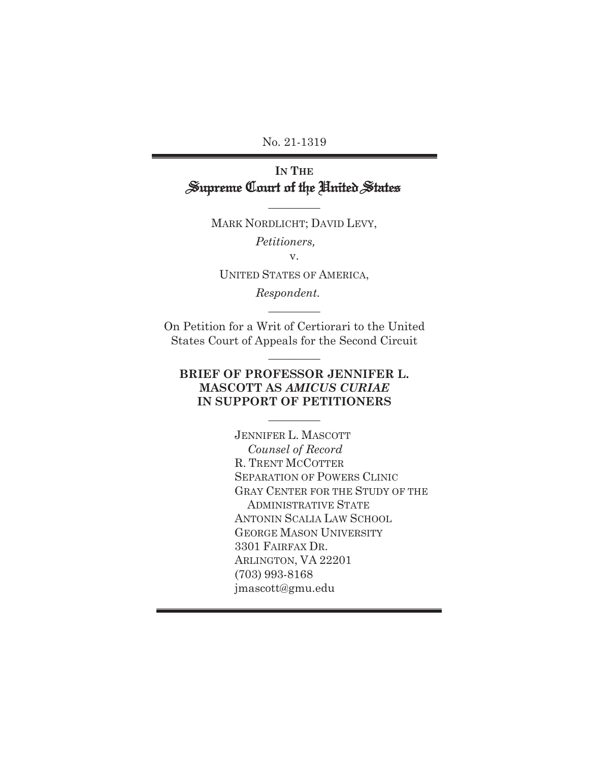No. 21-1319

## **IN THE** Supreme Court of the United States

MARK NORDLICHT; DAVID LEVY,

 $\frac{1}{2}$ 

*Petitioners,* 

v.

UNITED STATES OF AMERICA,

*Respondent.*

On Petition for a Writ of Certiorari to the United States Court of Appeals for the Second Circuit

 $\overline{\phantom{a}}$  , where  $\overline{\phantom{a}}$ 

 $\frac{1}{2}$ 

### **BRIEF OF PROFESSOR JENNIFER L. MASCOTT AS** *AMICUS CURIAE* **IN SUPPORT OF PETITIONERS**

 $\overline{\phantom{a}}$  . The set of  $\overline{\phantom{a}}$ 

JENNIFER L. MASCOTT  *Counsel of Record*  R. TRENT MCCOTTER SEPARATION OF POWERS CLINIC GRAY CENTER FOR THE STUDY OF THE ADMINISTRATIVE STATE ANTONIN SCALIA LAW SCHOOL GEORGE MASON UNIVERSITY 3301 FAIRFAX DR. ARLINGTON, VA 22201 (703) 993-8168 jmascott@gmu.edu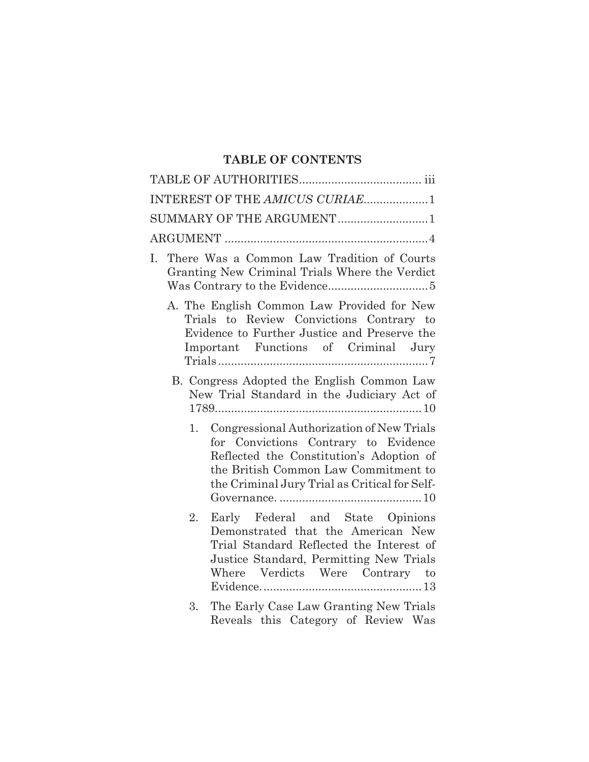## **TABLE OF CONTENTS**

| INTEREST OF THE AMICUS CURIAE1                                                                                                                                                                                               |
|------------------------------------------------------------------------------------------------------------------------------------------------------------------------------------------------------------------------------|
| SUMMARY OF THE ARGUMENT 1                                                                                                                                                                                                    |
|                                                                                                                                                                                                                              |
| There Was a Common Law Tradition of Courts<br>Ι.<br>Granting New Criminal Trials Where the Verdict                                                                                                                           |
| A. The English Common Law Provided for New<br>Trials to Review Convictions Contrary to<br>Evidence to Further Justice and Preserve the<br>Important Functions of Criminal Jury                                               |
| B. Congress Adopted the English Common Law<br>New Trial Standard in the Judiciary Act of<br>$1789$ $10$                                                                                                                      |
| Congressional Authorization of New Trials<br>1.<br>for Convictions Contrary to Evidence<br>Reflected the Constitution's Adoption of<br>the British Common Law Commitment to<br>the Criminal Jury Trial as Critical for Self- |
| Early Federal and State Opinions<br>2.<br>Demonstrated that the American New<br>Trial Standard Reflected the Interest of<br>Justice Standard, Permitting New Trials<br>Where Verdicts Were Contrary to                       |
| The Early Case Law Granting New Trials<br>3.                                                                                                                                                                                 |

3. The Early Case Law Granting New Trials Reveals this Category of Review Was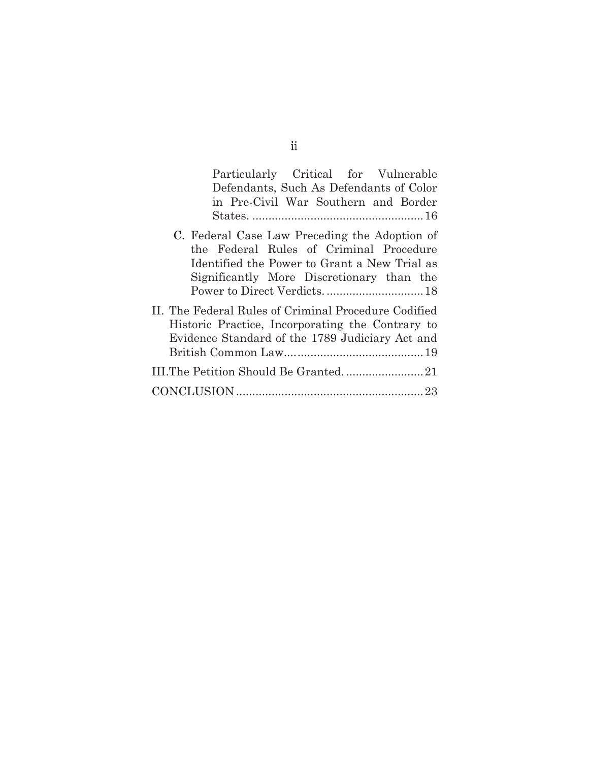| Particularly Critical for Vulnerable                 |
|------------------------------------------------------|
| Defendants, Such As Defendants of Color              |
| in Pre-Civil War Southern and Border                 |
|                                                      |
| C. Federal Case Law Preceding the Adoption of        |
| the Federal Rules of Criminal Procedure              |
| Identified the Power to Grant a New Trial as         |
| Significantly More Discretionary than the            |
|                                                      |
| II. The Federal Rules of Criminal Procedure Codified |
| Historic Practice, Incorporating the Contrary to     |
| Evidence Standard of the 1789 Judiciary Act and      |
|                                                      |
|                                                      |
|                                                      |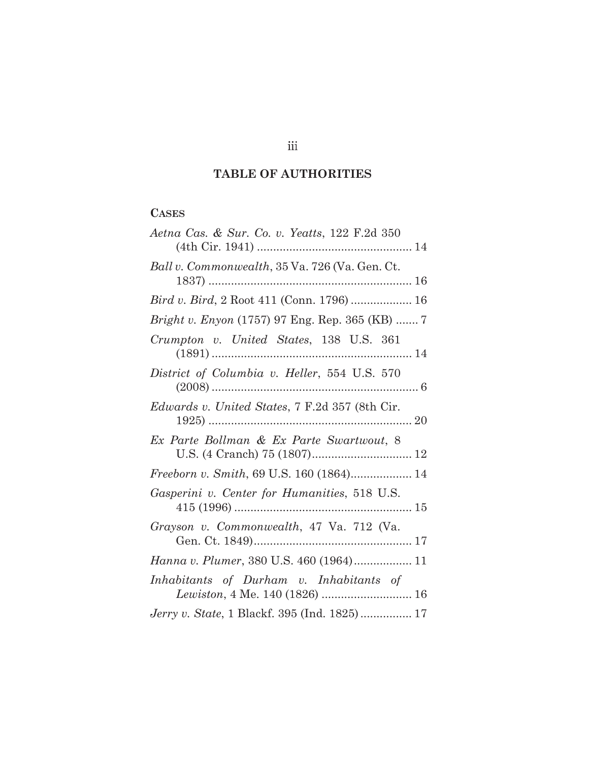## **TABLE OF AUTHORITIES**

# **CASES**

| Aetna Cas. & Sur. Co. v. Yeatts, 122 F.2d 350                                   |
|---------------------------------------------------------------------------------|
|                                                                                 |
| Ball v. Commonwealth, 35 Va. 726 (Va. Gen. Ct.                                  |
| Bird v. Bird, 2 Root 411 (Conn. 1796)  16                                       |
| <i>Bright v. Enyon</i> (1757) 97 Eng. Rep. 365 (KB)  7                          |
| Crumpton v. United States, 138 U.S. 361                                         |
| District of Columbia v. Heller, 554 U.S. 570                                    |
| <i>Edwards v. United States,</i> 7 F.2d 357 (8th Cir.<br>$1925)$<br>$\ldots$ 20 |
| Ex Parte Bollman & Ex Parte Swartwout, 8                                        |
| Freeborn v. Smith, 69 U.S. 160 (1864) 14                                        |
| Gasperini v. Center for Humanities, 518 U.S.                                    |
| Grayson v. Commonwealth, 47 Va. 712 (Va.                                        |
|                                                                                 |
| Inhabitants of Durham v. Inhabitants of                                         |
| Jerry v. State, 1 Blackf. 395 (Ind. 1825) 17                                    |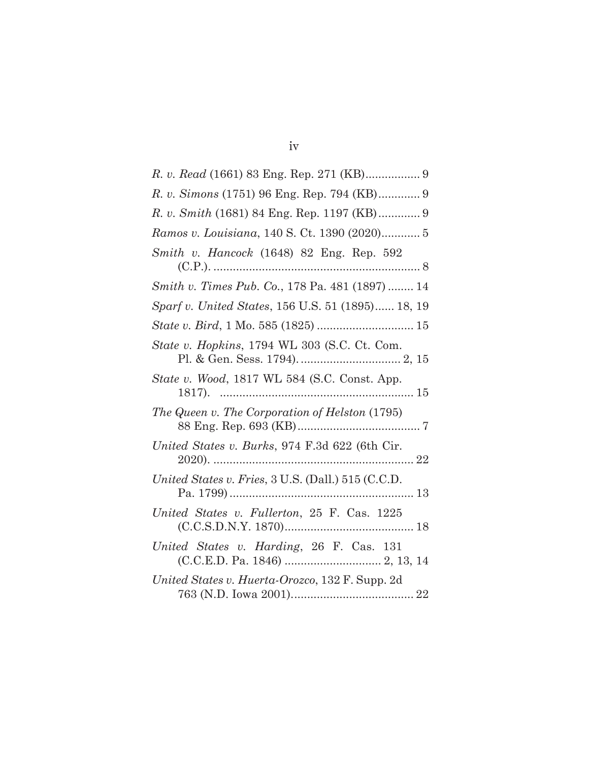| R. v. Simons (1751) 96 Eng. Rep. 794 (KB) 9        |
|----------------------------------------------------|
| R. v. Smith (1681) 84 Eng. Rep. 1197 (KB) 9        |
| Ramos v. Louisiana, 140 S. Ct. 1390 (2020) 5       |
| Smith v. Hancock (1648) 82 Eng. Rep. 592           |
| Smith v. Times Pub. Co., 178 Pa. 481 (1897)  14    |
| Sparf v. United States, 156 U.S. 51 (1895) 18, 19  |
|                                                    |
| State v. Hopkins, 1794 WL 303 (S.C. Ct. Com.       |
| State v. Wood, 1817 WL 584 (S.C. Const. App.       |
| The Queen v. The Corporation of Helston (1795)     |
| United States v. Burks, 974 F.3d 622 (6th Cir.     |
| United States v. Fries, 3 U.S. (Dall.) 515 (C.C.D. |
| United States v. Fullerton, 25 F. Cas. 1225        |
| United States v. Harding, 26 F. Cas. 131           |
| United States v. Huerta-Orozco, 132 F. Supp. 2d    |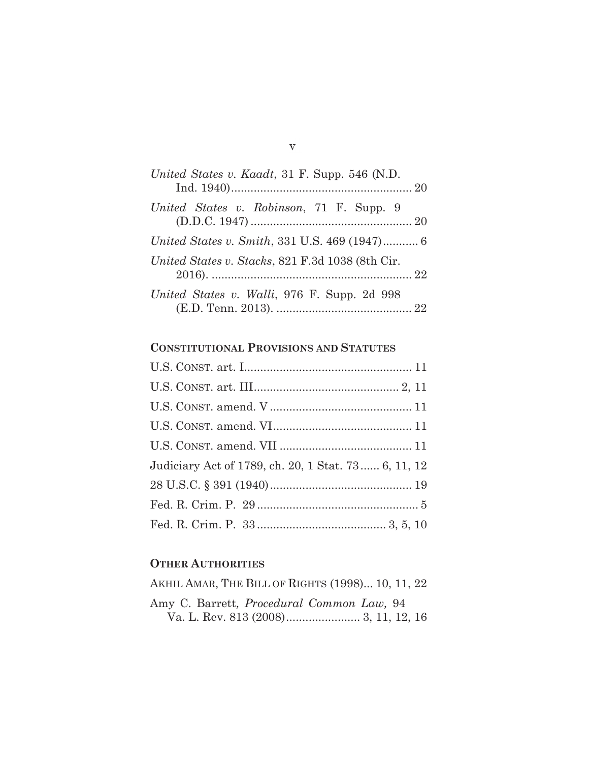| United States v. Kaadt, 31 F. Supp. 546 (N.D.        |
|------------------------------------------------------|
| United States v. Robinson, 71 F. Supp. 9             |
| <i>United States v. Smith, 331 U.S. 469 (1947)</i> 6 |
| United States v. Stacks, 821 F.3d 1038 (8th Cir.     |
| United States v. Walli, 976 F. Supp. 2d 998          |

### **CONSTITUTIONAL PROVISIONS AND STATUTES**

| Judiciary Act of 1789, ch. 20, 1 Stat. 73 6, 11, 12 |
|-----------------------------------------------------|
|                                                     |
|                                                     |
|                                                     |

### **OTHER AUTHORITIES**

AKHIL AMAR, THE BILL OF RIGHTS (1998)... 10, 11, 22 Amy C. Barrett*, Procedural Common Law,* 94 Va. L. Rev. 813 (2008) ....................... 3, 11, 12, 16

 $\boldsymbol{\mathrm{V}}$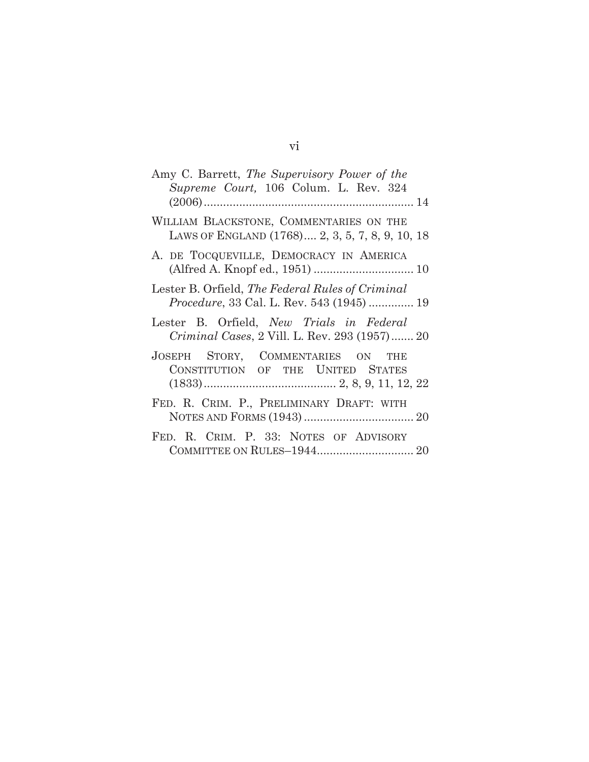| Amy C. Barrett, The Supervisory Power of the<br>Supreme Court, 106 Colum. L. Rev. 324         |
|-----------------------------------------------------------------------------------------------|
|                                                                                               |
| WILLIAM BLACKSTONE, COMMENTARIES ON THE<br>LAWS OF ENGLAND (1768) 2, 3, 5, 7, 8, 9, 10, 18    |
| A. DE TOCQUEVILLE, DEMOCRACY IN AMERICA                                                       |
| Lester B. Orfield, The Federal Rules of Criminal<br>Procedure, 33 Cal. L. Rev. 543 (1945)  19 |
| Lester B. Orfield, New Trials in Federal<br>Criminal Cases, 2 Vill. L. Rev. 293 (1957) 20     |
| JOSEPH STORY, COMMENTARIES ON<br><b>THE</b><br>CONSTITUTION OF THE UNITED STATES              |
| FED. R. CRIM. P., PRELIMINARY DRAFT: WITH                                                     |
| FED. R. CRIM. P. 33: NOTES OF ADVISORY                                                        |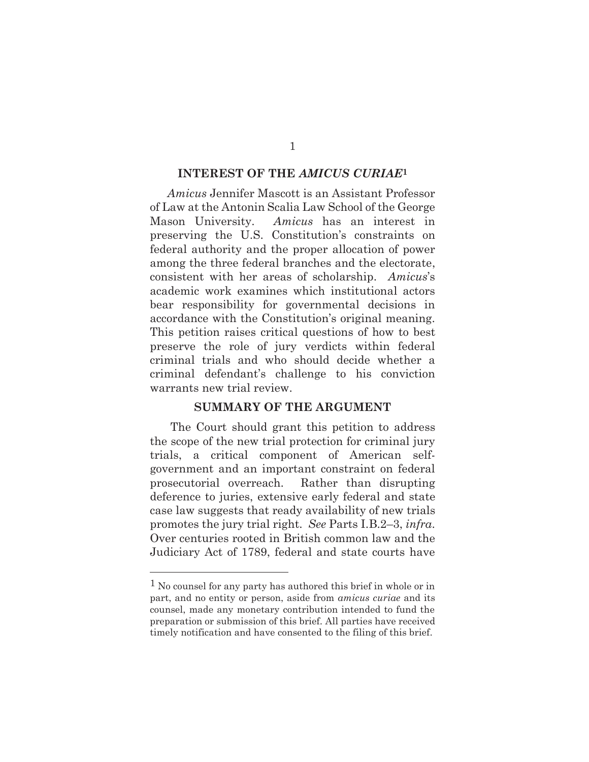#### **INTEREST OF THE** *AMICUS CURIAE***1**

*Amicus* Jennifer Mascott is an Assistant Professor of Law at the Antonin Scalia Law School of the George Mason University. *Amicus* has an interest in preserving the U.S. Constitution's constraints on federal authority and the proper allocation of power among the three federal branches and the electorate, consistent with her areas of scholarship. *Amicus*'s academic work examines which institutional actors bear responsibility for governmental decisions in accordance with the Constitution's original meaning. This petition raises critical questions of how to best preserve the role of jury verdicts within federal criminal trials and who should decide whether a criminal defendant's challenge to his conviction warrants new trial review.

### **SUMMARY OF THE ARGUMENT**

 The Court should grant this petition to address the scope of the new trial protection for criminal jury trials, a critical component of American selfgovernment and an important constraint on federal prosecutorial overreach. Rather than disrupting deference to juries, extensive early federal and state case law suggests that ready availability of new trials promotes the jury trial right. *See* Parts I.B.2–3, *infra*. Over centuries rooted in British common law and the Judiciary Act of 1789, federal and state courts have

<sup>1</sup> No counsel for any party has authored this brief in whole or in part, and no entity or person, aside from *amicus curiae* and its counsel, made any monetary contribution intended to fund the preparation or submission of this brief. All parties have received timely notification and have consented to the filing of this brief.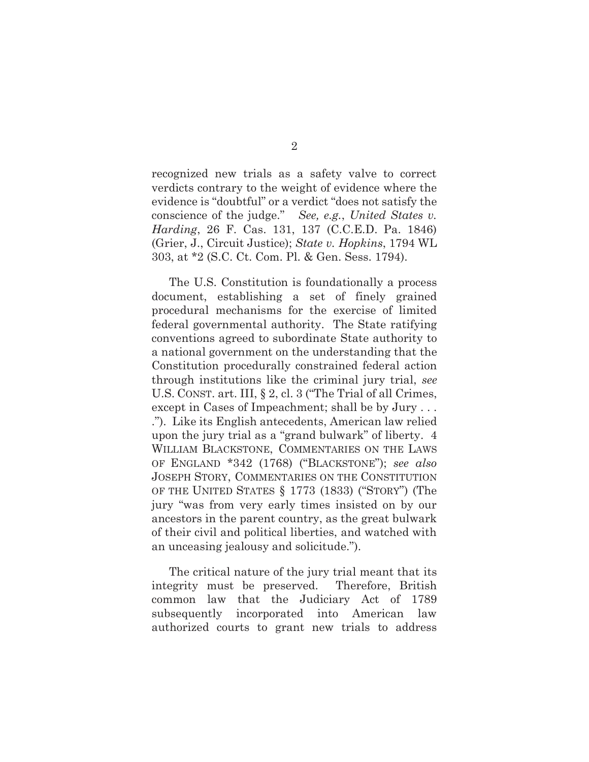recognized new trials as a safety valve to correct verdicts contrary to the weight of evidence where the evidence is "doubtful" or a verdict "does not satisfy the conscience of the judge." *See, e.g.*, *United States v. Harding*, 26 F. Cas. 131, 137 (C.C.E.D. Pa. 1846) (Grier, J., Circuit Justice); *State v. Hopkins*, 1794 WL 303, at \*2 (S.C. Ct. Com. Pl. & Gen. Sess. 1794).

The U.S. Constitution is foundationally a process document, establishing a set of finely grained procedural mechanisms for the exercise of limited federal governmental authority. The State ratifying conventions agreed to subordinate State authority to a national government on the understanding that the Constitution procedurally constrained federal action through institutions like the criminal jury trial, *see* U.S. CONST. art. III, § 2, cl. 3 ("The Trial of all Crimes, except in Cases of Impeachment; shall be by Jury . . . ."). Like its English antecedents, American law relied upon the jury trial as a "grand bulwark" of liberty. 4 WILLIAM BLACKSTONE, COMMENTARIES ON THE LAWS OF ENGLAND \*342 (1768) ("BLACKSTONE"); *see also* JOSEPH STORY, COMMENTARIES ON THE CONSTITUTION OF THE UNITED STATES § 1773 (1833) ("STORY") (The jury "was from very early times insisted on by our ancestors in the parent country, as the great bulwark of their civil and political liberties, and watched with an unceasing jealousy and solicitude.").

The critical nature of the jury trial meant that its integrity must be preserved. Therefore, British common law that the Judiciary Act of 1789 subsequently incorporated into American law authorized courts to grant new trials to address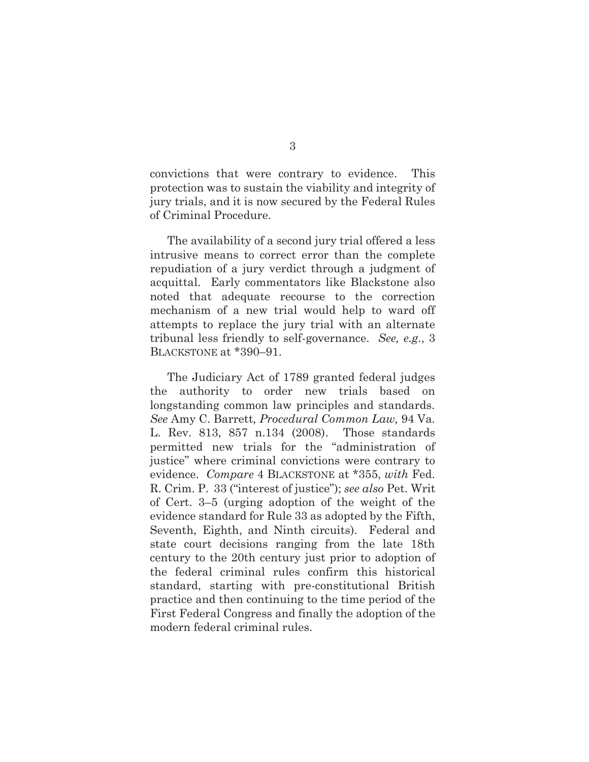convictions that were contrary to evidence. This protection was to sustain the viability and integrity of jury trials, and it is now secured by the Federal Rules of Criminal Procedure.

The availability of a second jury trial offered a less intrusive means to correct error than the complete repudiation of a jury verdict through a judgment of acquittal. Early commentators like Blackstone also noted that adequate recourse to the correction mechanism of a new trial would help to ward off attempts to replace the jury trial with an alternate tribunal less friendly to self-governance. *See, e.g.*, 3 BLACKSTONE at \*390–91.

The Judiciary Act of 1789 granted federal judges the authority to order new trials based on longstanding common law principles and standards. *See* Amy C. Barrett*, Procedural Common Law,* 94 Va. L. Rev. 813, 857 n.134 (2008). Those standards permitted new trials for the "administration of justice" where criminal convictions were contrary to evidence. *Compare* 4 BLACKSTONE at \*355, *with* Fed. R. Crim. P. 33 ("interest of justice"); *see also* Pet. Writ of Cert. 3–5 (urging adoption of the weight of the evidence standard for Rule 33 as adopted by the Fifth, Seventh, Eighth, and Ninth circuits). Federal and state court decisions ranging from the late 18th century to the 20th century just prior to adoption of the federal criminal rules confirm this historical standard, starting with pre-constitutional British practice and then continuing to the time period of the First Federal Congress and finally the adoption of the modern federal criminal rules.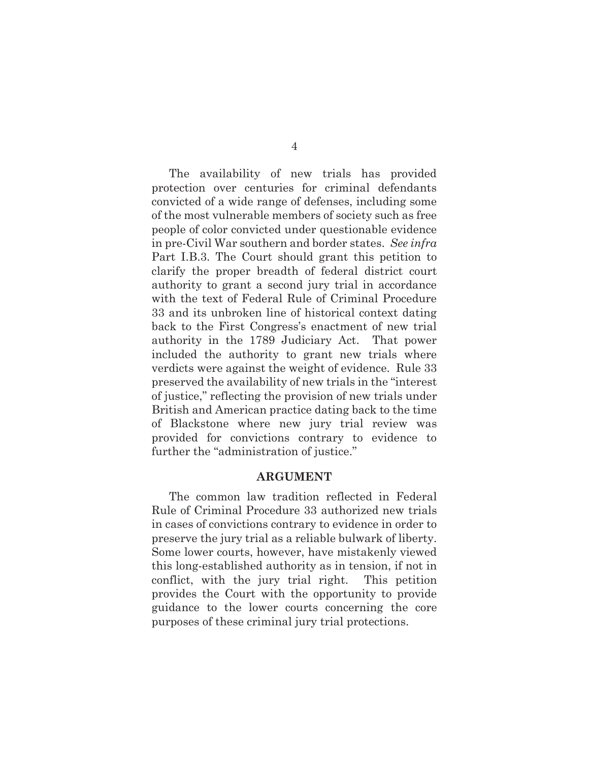The availability of new trials has provided protection over centuries for criminal defendants convicted of a wide range of defenses, including some of the most vulnerable members of society such as free people of color convicted under questionable evidence in pre-Civil War southern and border states. *See infra* Part I.B.3. The Court should grant this petition to clarify the proper breadth of federal district court authority to grant a second jury trial in accordance with the text of Federal Rule of Criminal Procedure 33 and its unbroken line of historical context dating back to the First Congress's enactment of new trial authority in the 1789 Judiciary Act. That power included the authority to grant new trials where verdicts were against the weight of evidence. Rule 33 preserved the availability of new trials in the "interest of justice," reflecting the provision of new trials under British and American practice dating back to the time of Blackstone where new jury trial review was provided for convictions contrary to evidence to further the "administration of justice."

#### **ARGUMENT**

The common law tradition reflected in Federal Rule of Criminal Procedure 33 authorized new trials in cases of convictions contrary to evidence in order to preserve the jury trial as a reliable bulwark of liberty. Some lower courts, however, have mistakenly viewed this long-established authority as in tension, if not in conflict, with the jury trial right. This petition provides the Court with the opportunity to provide guidance to the lower courts concerning the core purposes of these criminal jury trial protections.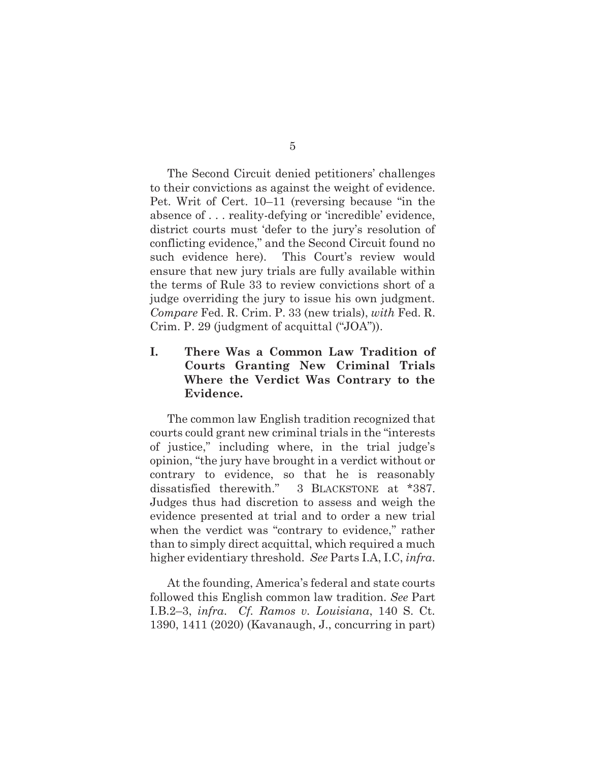The Second Circuit denied petitioners' challenges to their convictions as against the weight of evidence. Pet. Writ of Cert. 10–11 (reversing because "in the absence of . . . reality-defying or 'incredible' evidence, district courts must 'defer to the jury's resolution of conflicting evidence," and the Second Circuit found no such evidence here). This Court's review would ensure that new jury trials are fully available within the terms of Rule 33 to review convictions short of a judge overriding the jury to issue his own judgment. *Compare* Fed. R. Crim. P. 33 (new trials), *with* Fed. R. Crim. P. 29 (judgment of acquittal ("JOA")).

### **I. There Was a Common Law Tradition of Courts Granting New Criminal Trials Where the Verdict Was Contrary to the Evidence.**

The common law English tradition recognized that courts could grant new criminal trials in the "interests of justice," including where, in the trial judge's opinion, "the jury have brought in a verdict without or contrary to evidence, so that he is reasonably dissatisfied therewith." 3 BLACKSTONE at \*387. Judges thus had discretion to assess and weigh the evidence presented at trial and to order a new trial when the verdict was "contrary to evidence," rather than to simply direct acquittal, which required a much higher evidentiary threshold. *See* Parts I.A, I.C, *infra*.

At the founding, America's federal and state courts followed this English common law tradition. *See* Part I.B.2–3, *infra*. *Cf. Ramos v. Louisiana*, 140 S. Ct. 1390, 1411 (2020) (Kavanaugh, J., concurring in part)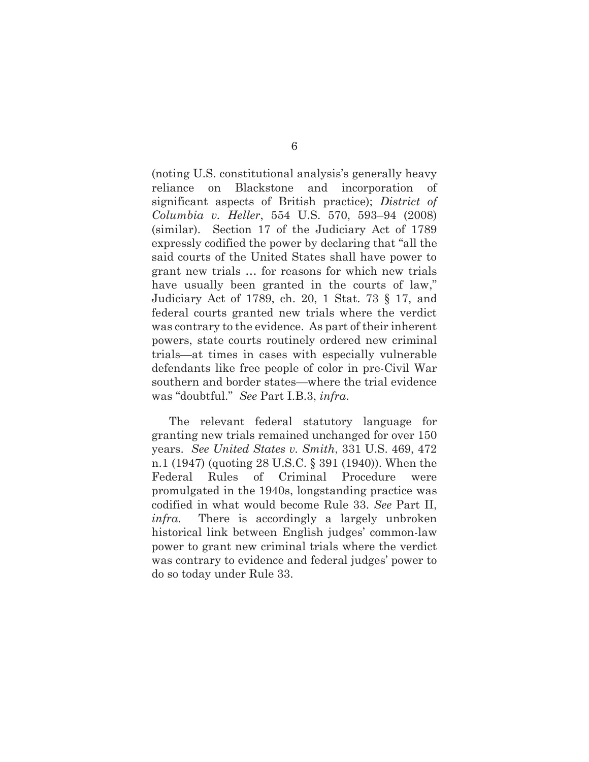(noting U.S. constitutional analysis's generally heavy reliance on Blackstone and incorporation of significant aspects of British practice); *District of Columbia v. Heller*, 554 U.S. 570, 593–94 (2008) (similar). Section 17 of the Judiciary Act of 1789 expressly codified the power by declaring that "all the said courts of the United States shall have power to grant new trials … for reasons for which new trials have usually been granted in the courts of law," Judiciary Act of 1789, ch. 20, 1 Stat. 73 § 17, and federal courts granted new trials where the verdict was contrary to the evidence. As part of their inherent powers, state courts routinely ordered new criminal trials—at times in cases with especially vulnerable defendants like free people of color in pre-Civil War southern and border states—where the trial evidence was "doubtful." *See* Part I.B.3, *infra*.

The relevant federal statutory language for granting new trials remained unchanged for over 150 years. *See United States v. Smith*, 331 U.S. 469, 472 n.1 (1947) (quoting 28 U.S.C. § 391 (1940)). When the Federal Rules of Criminal Procedure were promulgated in the 1940s, longstanding practice was codified in what would become Rule 33. *See* Part II, *infra*. There is accordingly a largely unbroken historical link between English judges' common-law power to grant new criminal trials where the verdict was contrary to evidence and federal judges' power to do so today under Rule 33.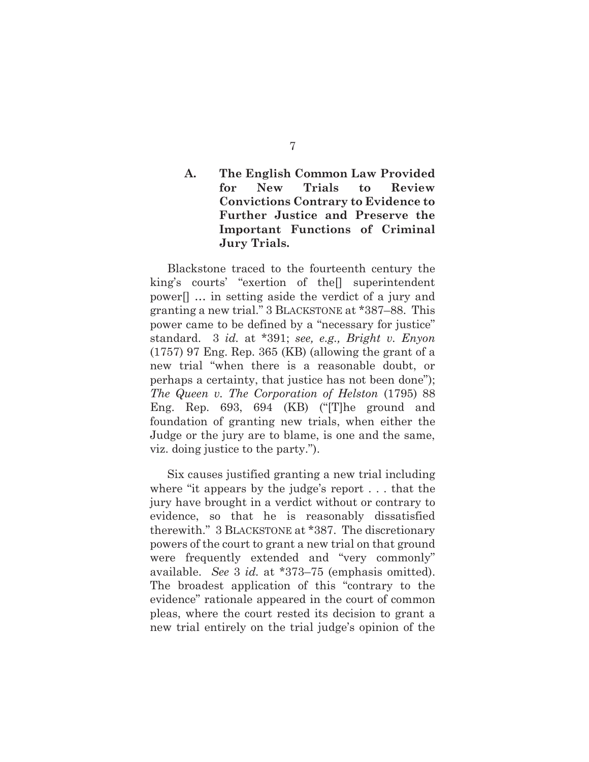### **A. The English Common Law Provided for New Trials to Review Convictions Contrary to Evidence to Further Justice and Preserve the Important Functions of Criminal Jury Trials.**

 Blackstone traced to the fourteenth century the king's courts' "exertion of the[] superintendent power[] … in setting aside the verdict of a jury and granting a new trial." 3 BLACKSTONE at \*387–88. This power came to be defined by a "necessary for justice" standard. 3 *id.* at \*391; *see, e.g., Bright v. Enyon* (1757) 97 Eng. Rep. 365 (KB) (allowing the grant of a new trial "when there is a reasonable doubt, or perhaps a certainty, that justice has not been done"); *The Queen v. The Corporation of Helston* (1795) 88 Eng. Rep. 693, 694 (KB) ("[T]he ground and foundation of granting new trials, when either the Judge or the jury are to blame, is one and the same, viz. doing justice to the party.").

 Six causes justified granting a new trial including where "it appears by the judge's report . . . that the jury have brought in a verdict without or contrary to evidence, so that he is reasonably dissatisfied therewith." 3 BLACKSTONE at \*387. The discretionary powers of the court to grant a new trial on that ground were frequently extended and "very commonly" available. *See* 3 *id.* at \*373–75 (emphasis omitted). The broadest application of this "contrary to the evidence" rationale appeared in the court of common pleas, where the court rested its decision to grant a new trial entirely on the trial judge's opinion of the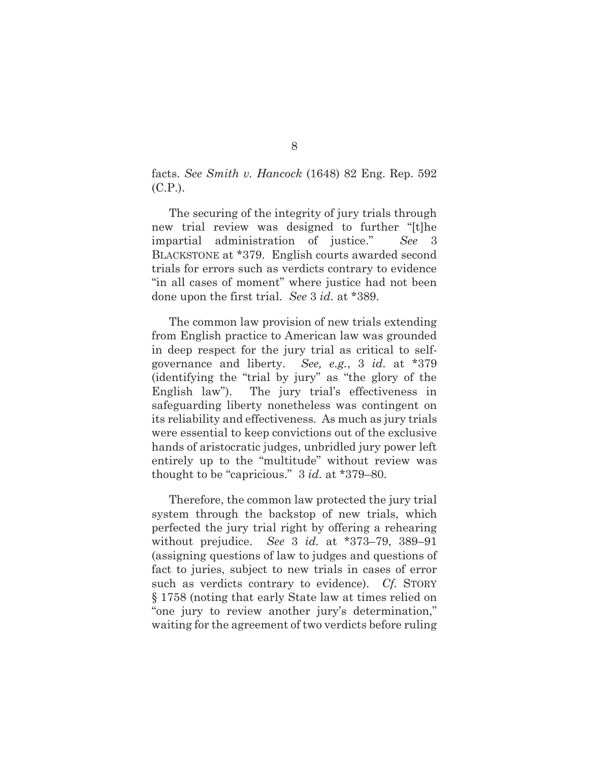facts. *See Smith v. Hancock* (1648) 82 Eng. Rep. 592 (C.P.).

 The securing of the integrity of jury trials through new trial review was designed to further "[t]he impartial administration of justice." *See* 3 BLACKSTONE at \*379.English courts awarded second trials for errors such as verdicts contrary to evidence "in all cases of moment" where justice had not been done upon the first trial. *See* 3 *id.* at \*389.

 The common law provision of new trials extending from English practice to American law was grounded in deep respect for the jury trial as critical to selfgovernance and liberty. *See, e.g.*, 3 *id.* at \*379 (identifying the "trial by jury" as "the glory of the English law"). The jury trial's effectiveness in safeguarding liberty nonetheless was contingent on its reliability and effectiveness. As much as jury trials were essential to keep convictions out of the exclusive hands of aristocratic judges, unbridled jury power left entirely up to the "multitude" without review was thought to be "capricious." 3 *id.* at \*379–80.

Therefore, the common law protected the jury trial system through the backstop of new trials, which perfected the jury trial right by offering a rehearing without prejudice. *See* 3 *id.* at \*373–79, 389–91 (assigning questions of law to judges and questions of fact to juries, subject to new trials in cases of error such as verdicts contrary to evidence). *Cf.* STORY § 1758 (noting that early State law at times relied on "one jury to review another jury's determination," waiting for the agreement of two verdicts before ruling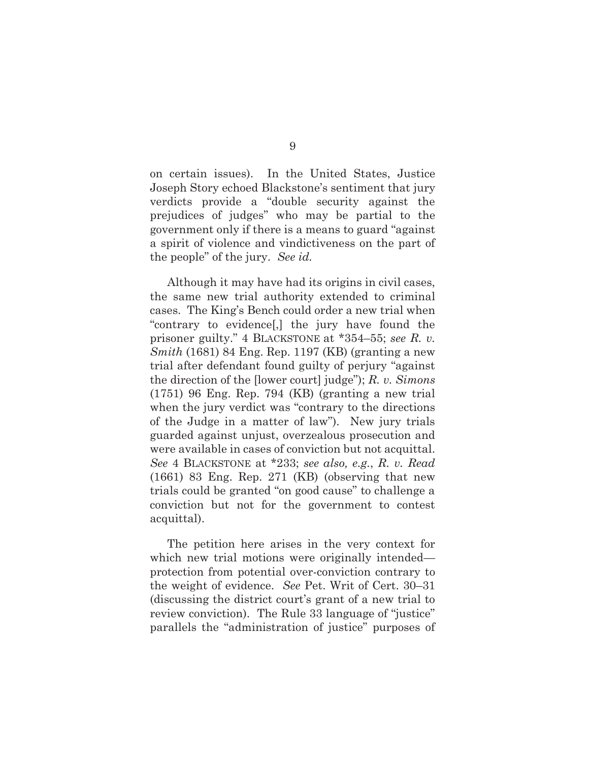on certain issues). In the United States, Justice Joseph Story echoed Blackstone's sentiment that jury verdicts provide a "double security against the prejudices of judges" who may be partial to the government only if there is a means to guard "against a spirit of violence and vindictiveness on the part of the people" of the jury. *See id.*

 Although it may have had its origins in civil cases, the same new trial authority extended to criminal cases. The King's Bench could order a new trial when "contrary to evidence[,] the jury have found the prisoner guilty." 4 BLACKSTONE at \*354–55; *see R. v. Smith* (1681) 84 Eng. Rep. 1197 (KB) (granting a new trial after defendant found guilty of perjury "against the direction of the [lower court] judge"); *R. v. Simons* (1751) 96 Eng. Rep. 794 (KB) (granting a new trial when the jury verdict was "contrary to the directions of the Judge in a matter of law"). New jury trials guarded against unjust, overzealous prosecution and were available in cases of conviction but not acquittal. *See* 4 BLACKSTONE at \*233; *see also, e.g.*, *R. v. Read* (1661) 83 Eng. Rep. 271 (KB) (observing that new trials could be granted "on good cause" to challenge a conviction but not for the government to contest acquittal).

 The petition here arises in the very context for which new trial motions were originally intended protection from potential over-conviction contrary to the weight of evidence. *See* Pet. Writ of Cert. 30–31 (discussing the district court's grant of a new trial to review conviction). The Rule 33 language of "justice" parallels the "administration of justice" purposes of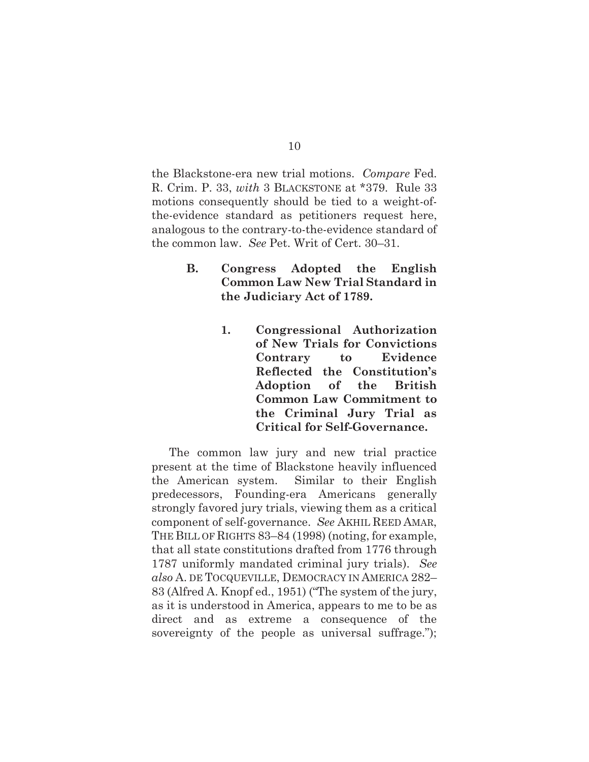the Blackstone-era new trial motions. *Compare* Fed. R. Crim. P. 33, *with* 3 BLACKSTONE at \*379. Rule 33 motions consequently should be tied to a weight-ofthe-evidence standard as petitioners request here, analogous to the contrary-to-the-evidence standard of the common law. *See* Pet. Writ of Cert. 30–31.

- **B. Congress Adopted the English Common Law New Trial Standard in the Judiciary Act of 1789.** 
	- **1. Congressional Authorization of New Trials for Convictions Contrary to Evidence Reflected the Constitution's Adoption of the British Common Law Commitment to the Criminal Jury Trial as Critical for Self-Governance.**

The common law jury and new trial practice present at the time of Blackstone heavily influenced the American system. Similar to their English predecessors, Founding-era Americans generally strongly favored jury trials, viewing them as a critical component of self-governance. *See* AKHIL REED AMAR, THE BILL OF RIGHTS 83–84 (1998) (noting, for example, that all state constitutions drafted from 1776 through 1787 uniformly mandated criminal jury trials). *See also* A. DE TOCQUEVILLE, DEMOCRACY IN AMERICA 282– 83 (Alfred A. Knopf ed., 1951) ("The system of the jury, as it is understood in America, appears to me to be as direct and as extreme a consequence of the sovereignty of the people as universal suffrage.");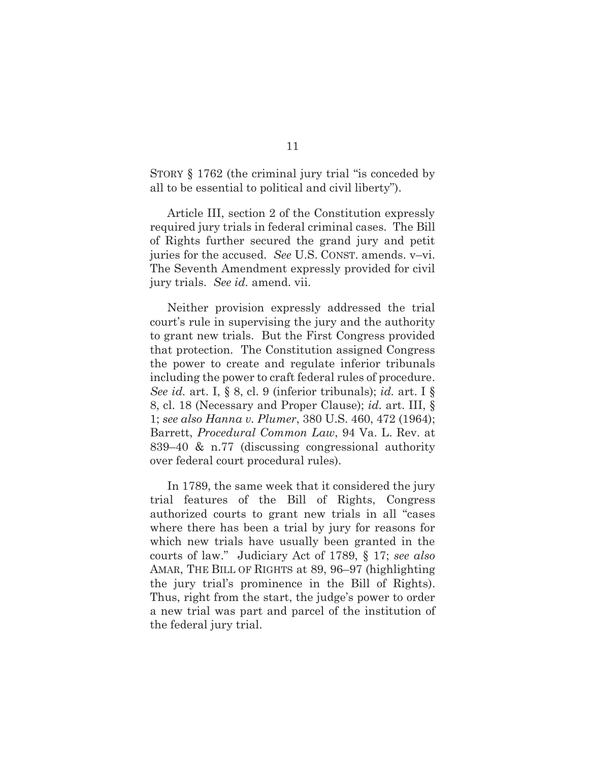STORY § 1762 (the criminal jury trial "is conceded by all to be essential to political and civil liberty").

Article III, section 2 of the Constitution expressly required jury trials in federal criminal cases. The Bill of Rights further secured the grand jury and petit juries for the accused. *See* U.S. CONST. amends. v–vi. The Seventh Amendment expressly provided for civil jury trials. *See id.* amend. vii.

Neither provision expressly addressed the trial court's rule in supervising the jury and the authority to grant new trials. But the First Congress provided that protection. The Constitution assigned Congress the power to create and regulate inferior tribunals including the power to craft federal rules of procedure. *See id.* art. I, § 8, cl. 9 (inferior tribunals); *id.* art. I § 8, cl. 18 (Necessary and Proper Clause); *id.* art. III, § 1; *see also Hanna v. Plumer*, 380 U.S. 460, 472 (1964); Barrett, *Procedural Common Law*, 94 Va. L. Rev. at 839–40 & n.77 (discussing congressional authority over federal court procedural rules).

In 1789, the same week that it considered the jury trial features of the Bill of Rights, Congress authorized courts to grant new trials in all "cases where there has been a trial by jury for reasons for which new trials have usually been granted in the courts of law." Judiciary Act of 1789, § 17; *see also* AMAR, THE BILL OF RIGHTS at 89, 96–97 (highlighting the jury trial's prominence in the Bill of Rights). Thus, right from the start, the judge's power to order a new trial was part and parcel of the institution of the federal jury trial.

11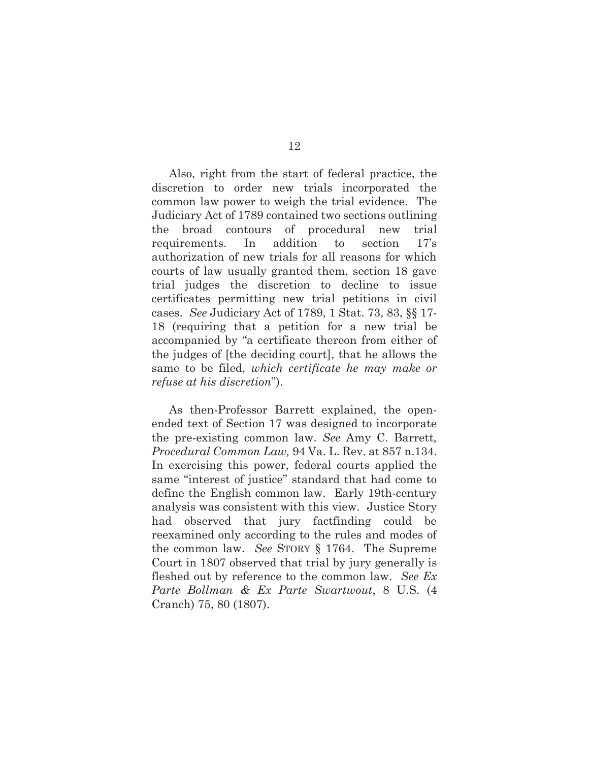Also, right from the start of federal practice, the discretion to order new trials incorporated the common law power to weigh the trial evidence. The Judiciary Act of 1789 contained two sections outlining the broad contours of procedural new trial requirements. In addition to section 17's authorization of new trials for all reasons for which courts of law usually granted them, section 18 gave trial judges the discretion to decline to issue certificates permitting new trial petitions in civil cases. *See* Judiciary Act of 1789, 1 Stat. 73, 83, §§ 17- 18 (requiring that a petition for a new trial be accompanied by "a certificate thereon from either of the judges of [the deciding court], that he allows the same to be filed, *which certificate he may make or refuse at his discretion*").

As then-Professor Barrett explained, the openended text of Section 17 was designed to incorporate the pre-existing common law. *See* Amy C. Barrett*, Procedural Common Law,* 94 Va. L. Rev. at 857 n.134. In exercising this power, federal courts applied the same "interest of justice" standard that had come to define the English common law. Early 19th-century analysis was consistent with this view. Justice Story had observed that jury factfinding could be reexamined only according to the rules and modes of the common law. *See* STORY § 1764. The Supreme Court in 1807 observed that trial by jury generally is fleshed out by reference to the common law. *See Ex Parte Bollman & Ex Parte Swartwout*, 8 U.S. (4 Cranch) 75, 80 (1807).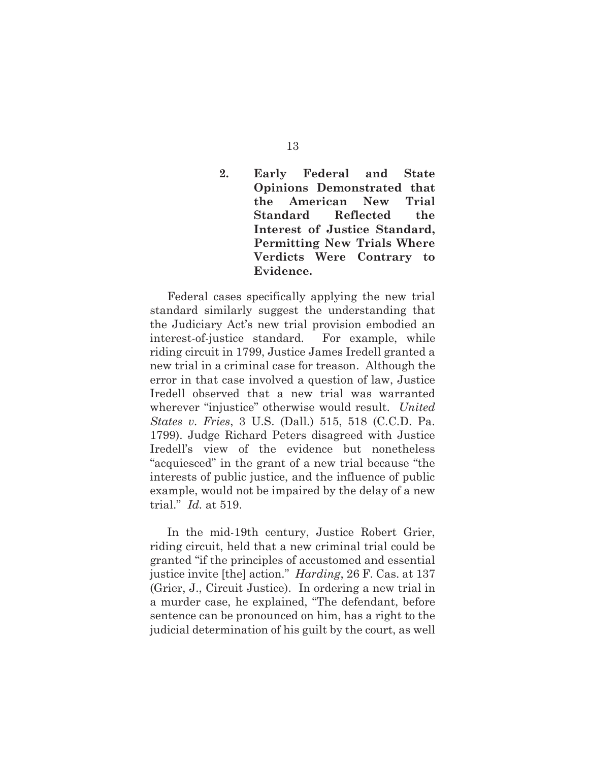### **2. Early Federal and State Opinions Demonstrated that the American New Trial Standard Reflected the Interest of Justice Standard, Permitting New Trials Where Verdicts Were Contrary to Evidence.**

Federal cases specifically applying the new trial standard similarly suggest the understanding that the Judiciary Act's new trial provision embodied an interest-of-justice standard. For example, while riding circuit in 1799, Justice James Iredell granted a new trial in a criminal case for treason. Although the error in that case involved a question of law, Justice Iredell observed that a new trial was warranted wherever "injustice" otherwise would result. *United States v. Fries*, 3 U.S. (Dall.) 515, 518 (C.C.D. Pa. 1799). Judge Richard Peters disagreed with Justice Iredell's view of the evidence but nonetheless "acquiesced" in the grant of a new trial because "the interests of public justice, and the influence of public example, would not be impaired by the delay of a new trial." *Id.* at 519.

In the mid-19th century, Justice Robert Grier, riding circuit, held that a new criminal trial could be granted "if the principles of accustomed and essential justice invite [the] action." *Harding*, 26 F. Cas. at 137 (Grier, J., Circuit Justice). In ordering a new trial in a murder case, he explained, "The defendant, before sentence can be pronounced on him, has a right to the judicial determination of his guilt by the court, as well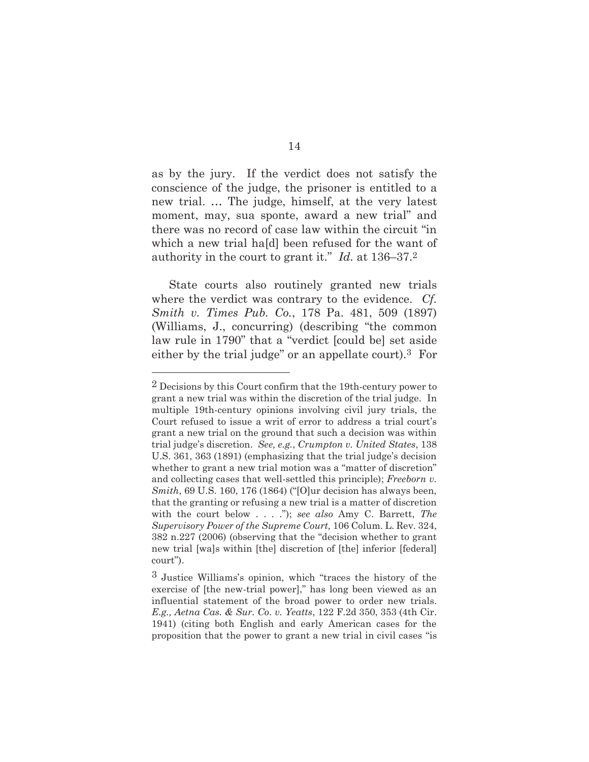as by the jury. If the verdict does not satisfy the conscience of the judge, the prisoner is entitled to a new trial. … The judge, himself, at the very latest moment, may, sua sponte, award a new trial" and there was no record of case law within the circuit "in which a new trial ha[d] been refused for the want of authority in the court to grant it." *Id.* at 136–37.2

State courts also routinely granted new trials where the verdict was contrary to the evidence. *Cf. Smith v. Times Pub. Co.*, 178 Pa. 481, 509 (1897) (Williams, J., concurring) (describing "the common law rule in 1790" that a "verdict [could be] set aside either by the trial judge" or an appellate court).3 For

<sup>2</sup> Decisions by this Court confirm that the 19th-century power to grant a new trial was within the discretion of the trial judge. In multiple 19th-century opinions involving civil jury trials, the Court refused to issue a writ of error to address a trial court's grant a new trial on the ground that such a decision was within trial judge's discretion. *See, e.g.*, *Crumpton v. United States*, 138 U.S. 361, 363 (1891) (emphasizing that the trial judge's decision whether to grant a new trial motion was a "matter of discretion" and collecting cases that well-settled this principle); *Freeborn v. Smith*, 69 U.S. 160, 176 (1864) ("[O]ur decision has always been, that the granting or refusing a new trial is a matter of discretion with the court below . . . ."); *see also* Amy C. Barrett, *The Supervisory Power of the Supreme Court,* 106 Colum. L. Rev. 324, 382 n.227 (2006) (observing that the "decision whether to grant new trial [wa]s within [the] discretion of [the] inferior [federal] court").

<sup>3</sup> Justice Williams's opinion, which "traces the history of the exercise of [the new-trial power]," has long been viewed as an influential statement of the broad power to order new trials. *E.g., Aetna Cas. & Sur. Co. v. Yeatts*, 122 F.2d 350, 353 (4th Cir. 1941) (citing both English and early American cases for the proposition that the power to grant a new trial in civil cases "is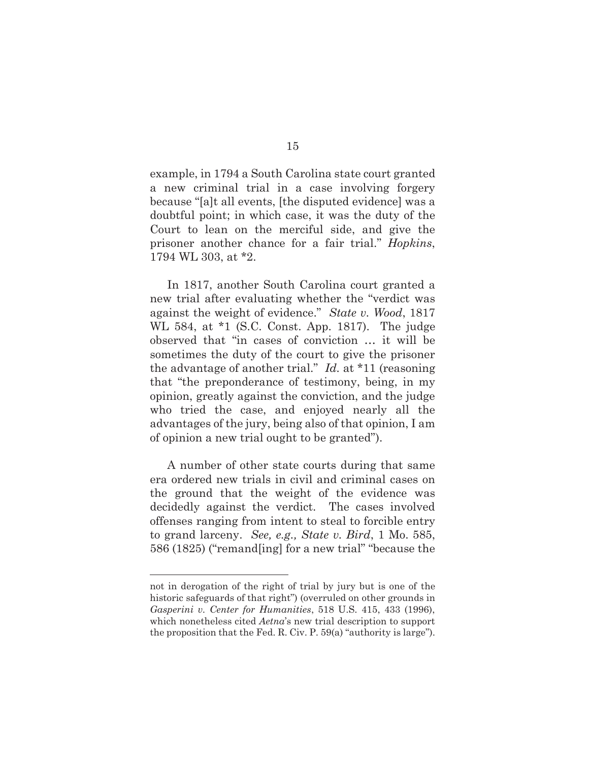example, in 1794 a South Carolina state court granted a new criminal trial in a case involving forgery because "[a]t all events, [the disputed evidence] was a doubtful point; in which case, it was the duty of the Court to lean on the merciful side, and give the prisoner another chance for a fair trial." *Hopkins*, 1794 WL 303, at \*2.

In 1817, another South Carolina court granted a new trial after evaluating whether the "verdict was against the weight of evidence." *State v. Wood*, 1817 WL 584, at \*1 (S.C. Const. App. 1817). The judge observed that "in cases of conviction … it will be sometimes the duty of the court to give the prisoner the advantage of another trial." *Id.* at \*11 (reasoning that "the preponderance of testimony, being, in my opinion, greatly against the conviction, and the judge who tried the case, and enjoyed nearly all the advantages of the jury, being also of that opinion, I am of opinion a new trial ought to be granted").

A number of other state courts during that same era ordered new trials in civil and criminal cases on the ground that the weight of the evidence was decidedly against the verdict. The cases involved offenses ranging from intent to steal to forcible entry to grand larceny. *See, e.g., State v. Bird*, 1 Mo. 585, 586 (1825) ("remand[ing] for a new trial" "because the

not in derogation of the right of trial by jury but is one of the historic safeguards of that right") (overruled on other grounds in *Gasperini v. Center for Humanities*, 518 U.S. 415, 433 (1996), which nonetheless cited *Aetna*'s new trial description to support the proposition that the Fed. R. Civ. P. 59(a) "authority is large").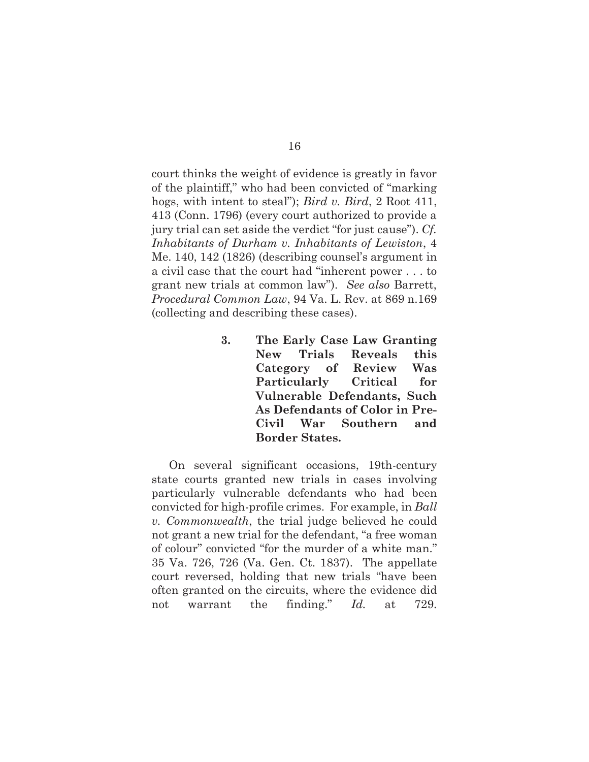court thinks the weight of evidence is greatly in favor of the plaintiff," who had been convicted of "marking hogs, with intent to steal"); *Bird v. Bird*, 2 Root 411, 413 (Conn. 1796) (every court authorized to provide a jury trial can set aside the verdict "for just cause"). *Cf. Inhabitants of Durham v. Inhabitants of Lewiston*, 4 Me. 140, 142 (1826) (describing counsel's argument in a civil case that the court had "inherent power . . . to grant new trials at common law"). *See also* Barrett, *Procedural Common Law*, 94 Va. L. Rev. at 869 n.169 (collecting and describing these cases).

> **3. The Early Case Law Granting New Trials Reveals this Category of Review Was Particularly Critical for Vulnerable Defendants, Such As Defendants of Color in Pre-Civil War Southern and Border States.**

On several significant occasions, 19th-century state courts granted new trials in cases involving particularly vulnerable defendants who had been convicted for high-profile crimes. For example, in *Ball v. Commonwealth*, the trial judge believed he could not grant a new trial for the defendant, "a free woman of colour" convicted "for the murder of a white man." 35 Va. 726, 726 (Va. Gen. Ct. 1837). The appellate court reversed, holding that new trials "have been often granted on the circuits, where the evidence did not warrant the finding." *Id.* at 729.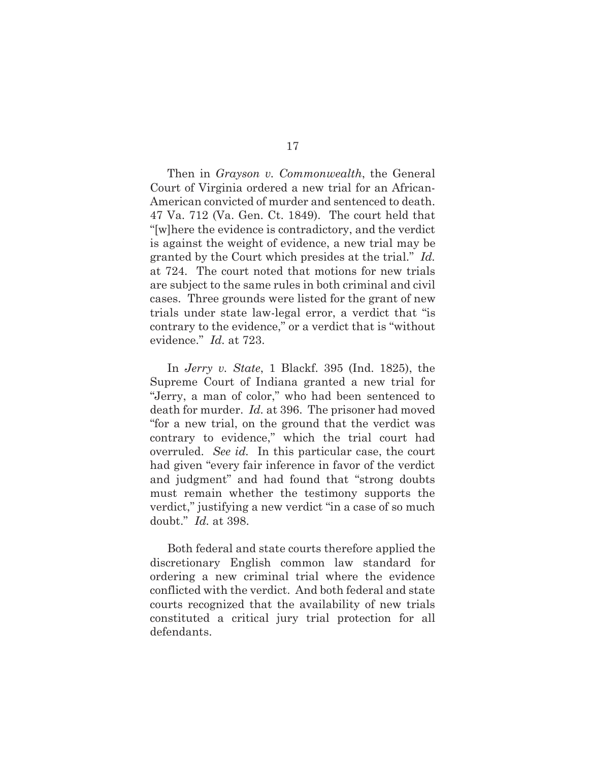Then in *Grayson v. Commonwealth*, the General Court of Virginia ordered a new trial for an African-American convicted of murder and sentenced to death. 47 Va. 712 (Va. Gen. Ct. 1849). The court held that "[w]here the evidence is contradictory, and the verdict is against the weight of evidence, a new trial may be granted by the Court which presides at the trial." *Id.* at 724. The court noted that motions for new trials are subject to the same rules in both criminal and civil cases. Three grounds were listed for the grant of new trials under state law-legal error, a verdict that "is contrary to the evidence," or a verdict that is "without evidence." *Id.* at 723.

In *Jerry v. State*, 1 Blackf. 395 (Ind. 1825), the Supreme Court of Indiana granted a new trial for "Jerry, a man of color," who had been sentenced to death for murder. *Id.* at 396. The prisoner had moved "for a new trial, on the ground that the verdict was contrary to evidence," which the trial court had overruled. *See id.* In this particular case, the court had given "every fair inference in favor of the verdict and judgment" and had found that "strong doubts must remain whether the testimony supports the verdict," justifying a new verdict "in a case of so much doubt." *Id.* at 398.

Both federal and state courts therefore applied the discretionary English common law standard for ordering a new criminal trial where the evidence conflicted with the verdict. And both federal and state courts recognized that the availability of new trials constituted a critical jury trial protection for all defendants.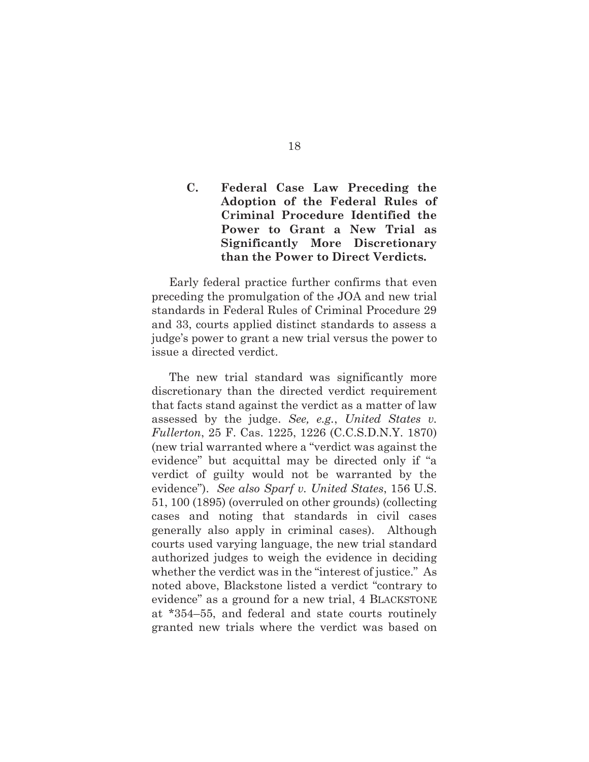### **C. Federal Case Law Preceding the Adoption of the Federal Rules of Criminal Procedure Identified the Power to Grant a New Trial as Significantly More Discretionary than the Power to Direct Verdicts.**

 Early federal practice further confirms that even preceding the promulgation of the JOA and new trial standards in Federal Rules of Criminal Procedure 29 and 33, courts applied distinct standards to assess a judge's power to grant a new trial versus the power to issue a directed verdict.

The new trial standard was significantly more discretionary than the directed verdict requirement that facts stand against the verdict as a matter of law assessed by the judge. *See, e.g.*, *United States v. Fullerton*, 25 F. Cas. 1225, 1226 (C.C.S.D.N.Y. 1870) (new trial warranted where a "verdict was against the evidence" but acquittal may be directed only if "a verdict of guilty would not be warranted by the evidence"). *See also Sparf v. United States*, 156 U.S. 51, 100 (1895) (overruled on other grounds) (collecting cases and noting that standards in civil cases generally also apply in criminal cases). Although courts used varying language, the new trial standard authorized judges to weigh the evidence in deciding whether the verdict was in the "interest of justice." As noted above, Blackstone listed a verdict "contrary to evidence" as a ground for a new trial, 4 BLACKSTONE at \*354–55, and federal and state courts routinely granted new trials where the verdict was based on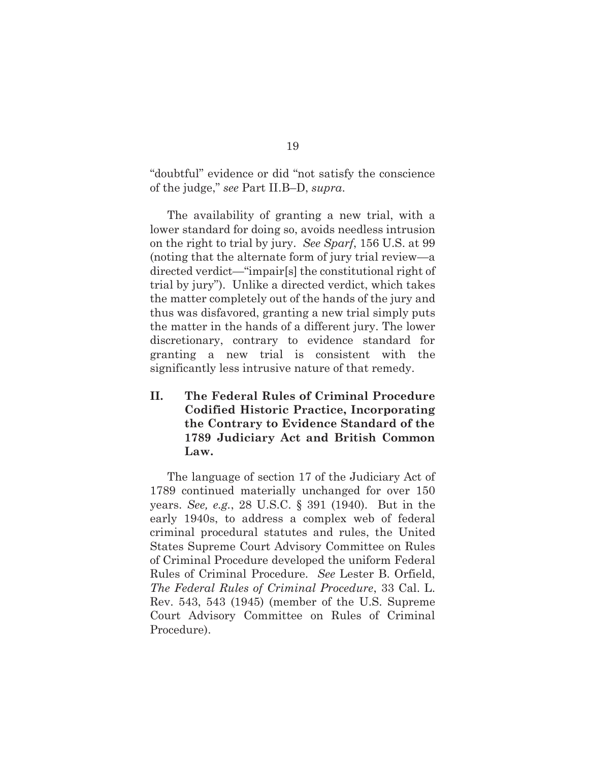"doubtful" evidence or did "not satisfy the conscience of the judge," *see* Part II.B–D, *supra*.

 The availability of granting a new trial, with a lower standard for doing so, avoids needless intrusion on the right to trial by jury. *See Sparf*, 156 U.S. at 99 (noting that the alternate form of jury trial review—a directed verdict—"impair[s] the constitutional right of trial by jury"). Unlike a directed verdict, which takes the matter completely out of the hands of the jury and thus was disfavored, granting a new trial simply puts the matter in the hands of a different jury. The lower discretionary, contrary to evidence standard for granting a new trial is consistent with the significantly less intrusive nature of that remedy.

**II. The Federal Rules of Criminal Procedure Codified Historic Practice, Incorporating the Contrary to Evidence Standard of the 1789 Judiciary Act and British Common Law.** 

The language of section 17 of the Judiciary Act of 1789 continued materially unchanged for over 150 years. *See, e.g.*, 28 U.S.C. § 391 (1940). But in the early 1940s, to address a complex web of federal criminal procedural statutes and rules, the United States Supreme Court Advisory Committee on Rules of Criminal Procedure developed the uniform Federal Rules of Criminal Procedure. *See* Lester B. Orfield, *The Federal Rules of Criminal Procedure*, 33 Cal. L. Rev. 543, 543 (1945) (member of the U.S. Supreme Court Advisory Committee on Rules of Criminal Procedure).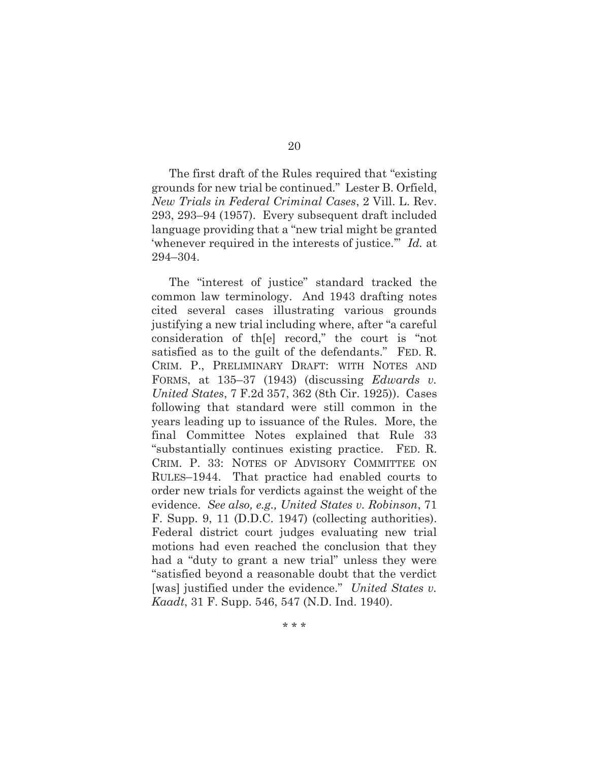The first draft of the Rules required that "existing grounds for new trial be continued." Lester B. Orfield, *New Trials in Federal Criminal Cases*, 2 Vill. L. Rev. 293, 293–94 (1957). Every subsequent draft included language providing that a "new trial might be granted 'whenever required in the interests of justice.'" *Id.* at 294–304.

The "interest of justice" standard tracked the common law terminology. And 1943 drafting notes cited several cases illustrating various grounds justifying a new trial including where, after "a careful consideration of th[e] record," the court is "not satisfied as to the guilt of the defendants." FED. R. CRIM. P., PRELIMINARY DRAFT: WITH NOTES AND FORMS, at 135–37 (1943) (discussing *Edwards v. United States*, 7 F.2d 357, 362 (8th Cir. 1925)). Cases following that standard were still common in the years leading up to issuance of the Rules. More, the final Committee Notes explained that Rule 33 "substantially continues existing practice. FED. R. CRIM. P. 33: NOTES OF ADVISORY COMMITTEE ON RULES–1944. That practice had enabled courts to order new trials for verdicts against the weight of the evidence. *See also, e.g., United States v. Robinson*, 71 F. Supp. 9, 11 (D.D.C. 1947) (collecting authorities). Federal district court judges evaluating new trial motions had even reached the conclusion that they had a "duty to grant a new trial" unless they were "satisfied beyond a reasonable doubt that the verdict [was] justified under the evidence." *United States v. Kaadt*, 31 F. Supp. 546, 547 (N.D. Ind. 1940).

20

\* \* \*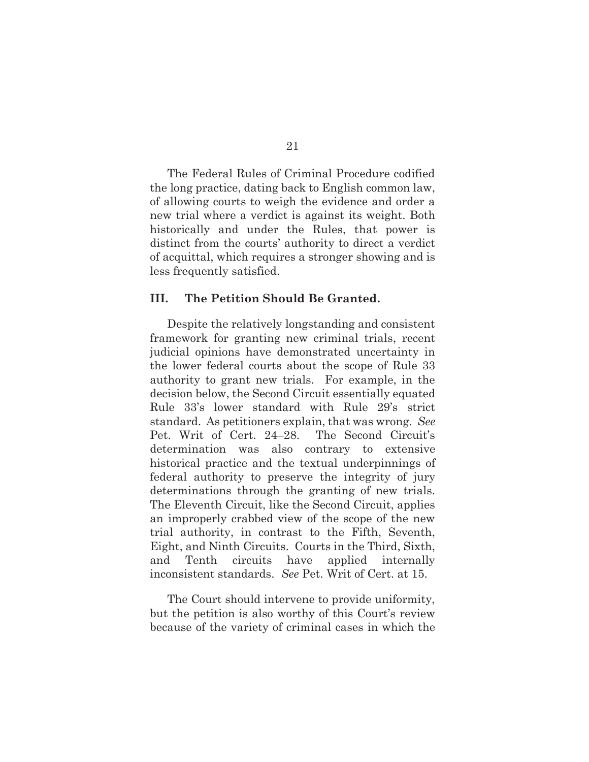The Federal Rules of Criminal Procedure codified the long practice, dating back to English common law, of allowing courts to weigh the evidence and order a new trial where a verdict is against its weight. Both historically and under the Rules, that power is distinct from the courts' authority to direct a verdict of acquittal, which requires a stronger showing and is less frequently satisfied.

#### **III. The Petition Should Be Granted.**

Despite the relatively longstanding and consistent framework for granting new criminal trials, recent judicial opinions have demonstrated uncertainty in the lower federal courts about the scope of Rule 33 authority to grant new trials. For example, in the decision below, the Second Circuit essentially equated Rule 33's lower standard with Rule 29's strict standard. As petitioners explain, that was wrong. *See* Pet. Writ of Cert. 24–28. The Second Circuit's determination was also contrary to extensive historical practice and the textual underpinnings of federal authority to preserve the integrity of jury determinations through the granting of new trials. The Eleventh Circuit, like the Second Circuit, applies an improperly crabbed view of the scope of the new trial authority, in contrast to the Fifth, Seventh, Eight, and Ninth Circuits. Courts in the Third, Sixth, and Tenth circuits have applied internally inconsistent standards. *See* Pet. Writ of Cert. at 15.

The Court should intervene to provide uniformity, but the petition is also worthy of this Court's review because of the variety of criminal cases in which the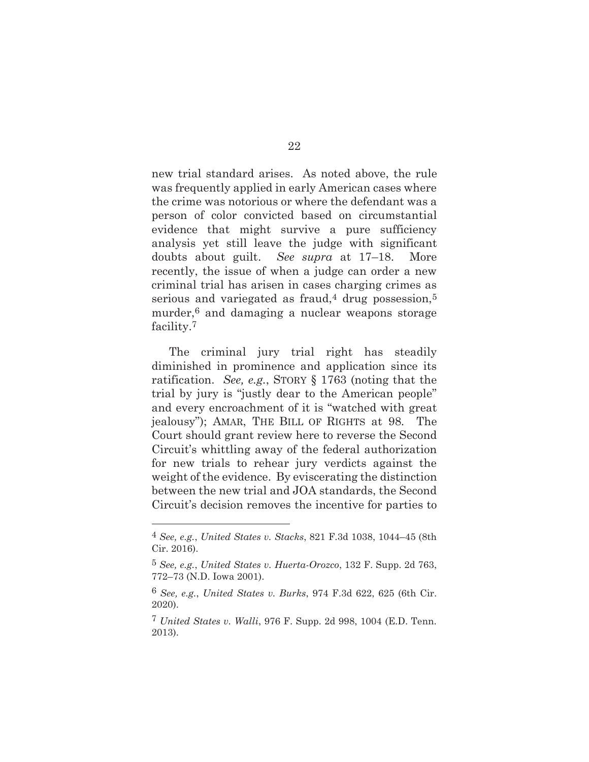new trial standard arises. As noted above, the rule was frequently applied in early American cases where the crime was notorious or where the defendant was a person of color convicted based on circumstantial evidence that might survive a pure sufficiency analysis yet still leave the judge with significant doubts about guilt. *See supra* at 17–18. More recently, the issue of when a judge can order a new criminal trial has arisen in cases charging crimes as serious and variegated as fraud,<sup>4</sup> drug possession,<sup>5</sup> murder,6 and damaging a nuclear weapons storage facility.7

The criminal jury trial right has steadily diminished in prominence and application since its ratification. *See, e.g.*, STORY § 1763 (noting that the trial by jury is "justly dear to the American people" and every encroachment of it is "watched with great jealousy"); AMAR, THE BILL OF RIGHTS at 98. The Court should grant review here to reverse the Second Circuit's whittling away of the federal authorization for new trials to rehear jury verdicts against the weight of the evidence. By eviscerating the distinction between the new trial and JOA standards, the Second Circuit's decision removes the incentive for parties to

<sup>4</sup> *See, e.g.*, *United States v. Stacks*, 821 F.3d 1038, 1044–45 (8th Cir. 2016).

<sup>5</sup> *See, e.g.*, *United States v. Huerta-Orozco*, 132 F. Supp. 2d 763, 772–73 (N.D. Iowa 2001).

<sup>6</sup> *See, e.g.*, *United States v. Burks*, 974 F.3d 622, 625 (6th Cir. 2020).

<sup>7</sup> *United States v. Walli*, 976 F. Supp. 2d 998, 1004 (E.D. Tenn. 2013).